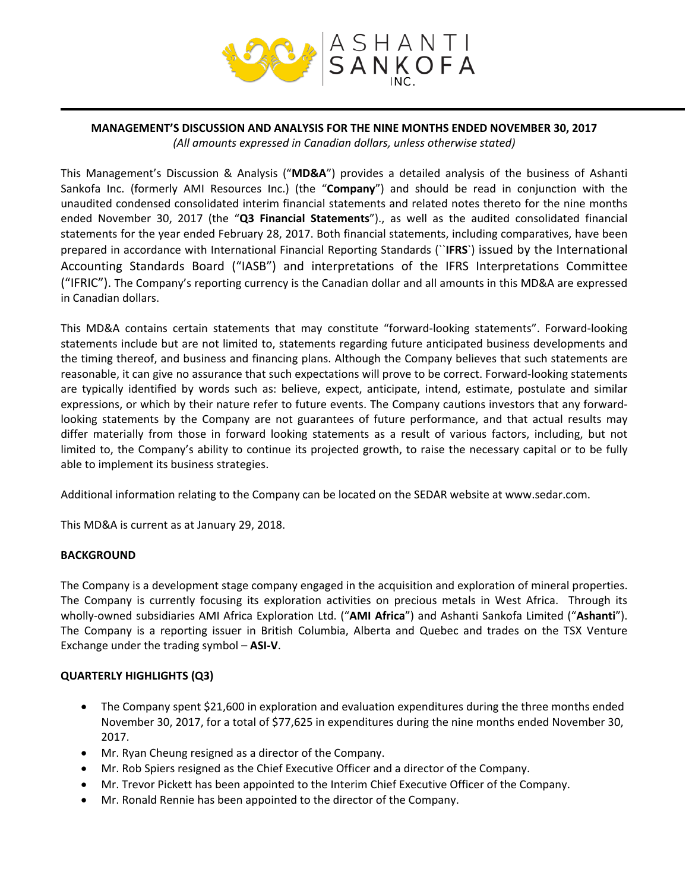

#### **MANAGEMENT'S DISCUSSION AND ANALYSIS FOR THE NINE MONTHS ENDED NOVEMBER 30, 2017** *(All amounts expressed in Canadian dollars, unless otherwise stated)*

This Management's Discussion & Analysis ("**MD&A**") provides a detailed analysis of the business of Ashanti Sankofa Inc. (formerly AMI Resources Inc.) (the "**Company**") and should be read in conjunction with the unaudited condensed consolidated interim financial statements and related notes thereto for the nine months ended November 30, 2017 (the "**Q3 Financial Statements**")., as well as the audited consolidated financial statements for the year ended February 28, 2017. Both financial statements, including comparatives, have been prepared in accordance with International Financial Reporting Standards (``**IFRS**`) issued by the International Accounting Standards Board ("IASB") and interpretations of the IFRS Interpretations Committee ("IFRIC"). The Company's reporting currency is the Canadian dollar and all amounts in this MD&A are expressed in Canadian dollars.

This MD&A contains certain statements that may constitute "forward‐looking statements". Forward‐looking statements include but are not limited to, statements regarding future anticipated business developments and the timing thereof, and business and financing plans. Although the Company believes that such statements are reasonable, it can give no assurance that such expectations will prove to be correct. Forward‐looking statements are typically identified by words such as: believe, expect, anticipate, intend, estimate, postulate and similar expressions, or which by their nature refer to future events. The Company cautions investors that any forward‐ looking statements by the Company are not guarantees of future performance, and that actual results may differ materially from those in forward looking statements as a result of various factors, including, but not limited to, the Company's ability to continue its projected growth, to raise the necessary capital or to be fully able to implement its business strategies.

Additional information relating to the Company can be located on the SEDAR website at www.sedar.com.

This MD&A is current as at January 29, 2018.

# **BACKGROUND**

The Company is a development stage company engaged in the acquisition and exploration of mineral properties. The Company is currently focusing its exploration activities on precious metals in West Africa. Through its wholly-owned subsidiaries AMI Africa Exploration Ltd. ("**AMI Africa**") and Ashanti Sankofa Limited ("**Ashanti**"). The Company is a reporting issuer in British Columbia, Alberta and Quebec and trades on the TSX Venture Exchange under the trading symbol – **ASI-V**.

# **QUARTERLY HIGHLIGHTS (Q3)**

- The Company spent \$21,600 in exploration and evaluation expenditures during the three months ended November 30, 2017, for a total of \$77,625 in expenditures during the nine months ended November 30, 2017.
- Mr. Ryan Cheung resigned as a director of the Company.
- Mr. Rob Spiers resigned as the Chief Executive Officer and a director of the Company.
- Mr. Trevor Pickett has been appointed to the Interim Chief Executive Officer of the Company.
- Mr. Ronald Rennie has been appointed to the director of the Company.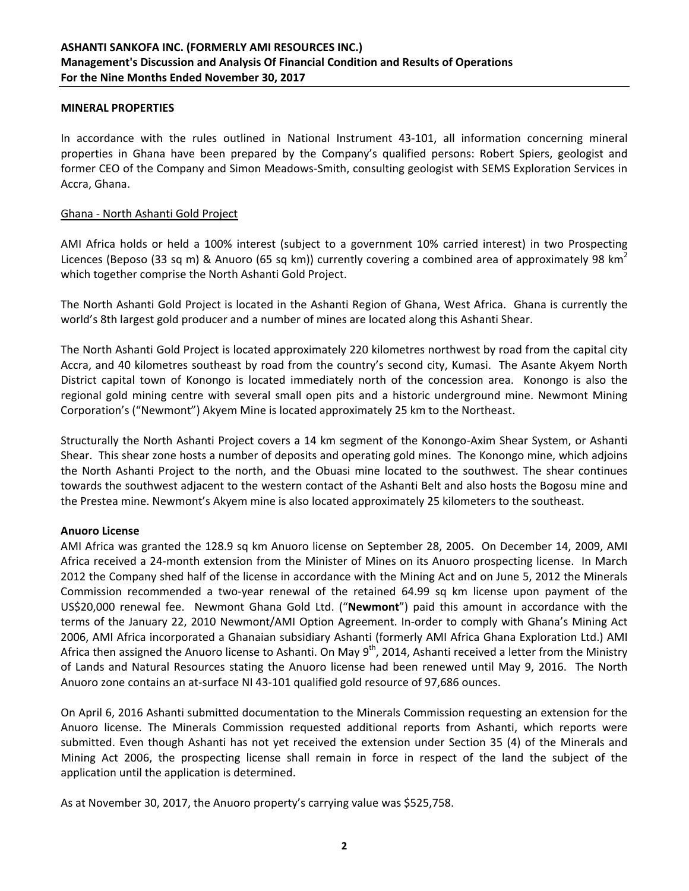#### **MINERAL PROPERTIES**

In accordance with the rules outlined in National Instrument 43-101, all information concerning mineral properties in Ghana have been prepared by the Company's qualified persons: Robert Spiers, geologist and former CEO of the Company and Simon Meadows-Smith, consulting geologist with SEMS Exploration Services in Accra, Ghana.

#### Ghana - North Ashanti Gold Project

AMI Africa holds or held a 100% interest (subject to a government 10% carried interest) in two Prospecting Licences (Beposo (33 sq m) & Anuoro (65 sq km)) currently covering a combined area of approximately 98 km<sup>2</sup> which together comprise the North Ashanti Gold Project.

The North Ashanti Gold Project is located in the Ashanti Region of Ghana, West Africa. Ghana is currently the world's 8th largest gold producer and a number of mines are located along this Ashanti Shear.

The North Ashanti Gold Project is located approximately 220 kilometres northwest by road from the capital city Accra, and 40 kilometres southeast by road from the country's second city, Kumasi. The Asante Akyem North District capital town of Konongo is located immediately north of the concession area. Konongo is also the regional gold mining centre with several small open pits and a historic underground mine. Newmont Mining Corporation's ("Newmont") Akyem Mine is located approximately 25 km to the Northeast.

Structurally the North Ashanti Project covers a 14 km segment of the Konongo-Axim Shear System, or Ashanti Shear. This shear zone hosts a number of deposits and operating gold mines. The Konongo mine, which adjoins the North Ashanti Project to the north, and the Obuasi mine located to the southwest. The shear continues towards the southwest adjacent to the western contact of the Ashanti Belt and also hosts the Bogosu mine and the Prestea mine. Newmont's Akyem mine is also located approximately 25 kilometers to the southeast.

# **Anuoro License**

AMI Africa was granted the 128.9 sq km Anuoro license on September 28, 2005. On December 14, 2009, AMI Africa received a 24-month extension from the Minister of Mines on its Anuoro prospecting license. In March 2012 the Company shed half of the license in accordance with the Mining Act and on June 5, 2012 the Minerals Commission recommended a two-year renewal of the retained 64.99 sq km license upon payment of the US\$20,000 renewal fee. Newmont Ghana Gold Ltd. ("**Newmont**") paid this amount in accordance with the terms of the January 22, 2010 Newmont/AMI Option Agreement. In-order to comply with Ghana's Mining Act 2006, AMI Africa incorporated a Ghanaian subsidiary Ashanti (formerly AMI Africa Ghana Exploration Ltd.) AMI Africa then assigned the Anuoro license to Ashanti. On May  $9<sup>th</sup>$ , 2014, Ashanti received a letter from the Ministry of Lands and Natural Resources stating the Anuoro license had been renewed until May 9, 2016. The North Anuoro zone contains an at-surface NI 43-101 qualified gold resource of 97,686 ounces.

On April 6, 2016 Ashanti submitted documentation to the Minerals Commission requesting an extension for the Anuoro license. The Minerals Commission requested additional reports from Ashanti, which reports were submitted. Even though Ashanti has not yet received the extension under Section 35 (4) of the Minerals and Mining Act 2006, the prospecting license shall remain in force in respect of the land the subject of the application until the application is determined.

As at November 30, 2017, the Anuoro property's carrying value was \$525,758.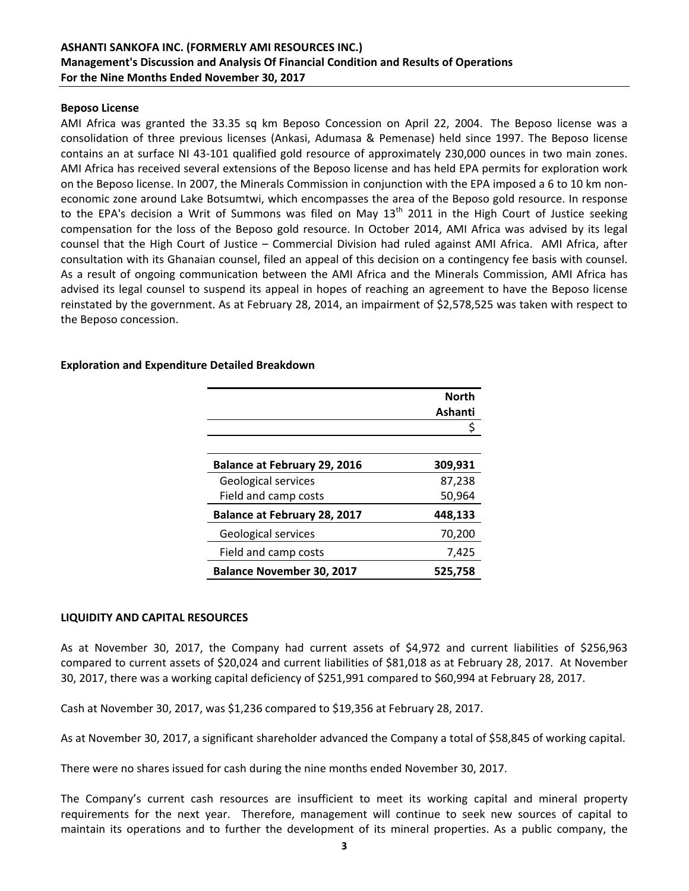#### **Beposo License**

AMI Africa was granted the 33.35 sq km Beposo Concession on April 22, 2004. The Beposo license was a consolidation of three previous licenses (Ankasi, Adumasa & Pemenase) held since 1997. The Beposo license contains an at surface NI 43-101 qualified gold resource of approximately 230,000 ounces in two main zones. AMI Africa has received several extensions of the Beposo license and has held EPA permits for exploration work on the Beposo license. In 2007, the Minerals Commission in conjunction with the EPA imposed a 6 to 10 km noneconomic zone around Lake Botsumtwi, which encompasses the area of the Beposo gold resource. In response to the EPA's decision a Writ of Summons was filed on May  $13<sup>th</sup>$  2011 in the High Court of Justice seeking compensation for the loss of the Beposo gold resource. In October 2014, AMI Africa was advised by its legal counsel that the High Court of Justice – Commercial Division had ruled against AMI Africa. AMI Africa, after consultation with its Ghanaian counsel, filed an appeal of this decision on a contingency fee basis with counsel. As a result of ongoing communication between the AMI Africa and the Minerals Commission, AMI Africa has advised its legal counsel to suspend its appeal in hopes of reaching an agreement to have the Beposo license reinstated by the government. As at February 28, 2014, an impairment of \$2,578,525 was taken with respect to the Beposo concession.

# **Exploration and Expenditure Detailed Breakdown**

|                                     | <b>North</b> |
|-------------------------------------|--------------|
|                                     | Ashanti      |
|                                     |              |
|                                     |              |
| <b>Balance at February 29, 2016</b> | 309,931      |
| Geological services                 | 87,238       |
| Field and camp costs                | 50,964       |
| <b>Balance at February 28, 2017</b> | 448,133      |
| Geological services                 | 70,200       |
| Field and camp costs                | 7,425        |
| <b>Balance November 30, 2017</b>    | 525,758      |

#### **LIQUIDITY AND CAPITAL RESOURCES**

As at November 30, 2017, the Company had current assets of \$4,972 and current liabilities of \$256,963 compared to current assets of \$20,024 and current liabilities of \$81,018 as at February 28, 2017. At November 30, 2017, there was a working capital deficiency of \$251,991 compared to \$60,994 at February 28, 2017.

Cash at November 30, 2017, was \$1,236 compared to \$19,356 at February 28, 2017.

As at November 30, 2017, a significant shareholder advanced the Company a total of \$58,845 of working capital.

There were no shares issued for cash during the nine months ended November 30, 2017.

The Company's current cash resources are insufficient to meet its working capital and mineral property requirements for the next year. Therefore, management will continue to seek new sources of capital to maintain its operations and to further the development of its mineral properties. As a public company, the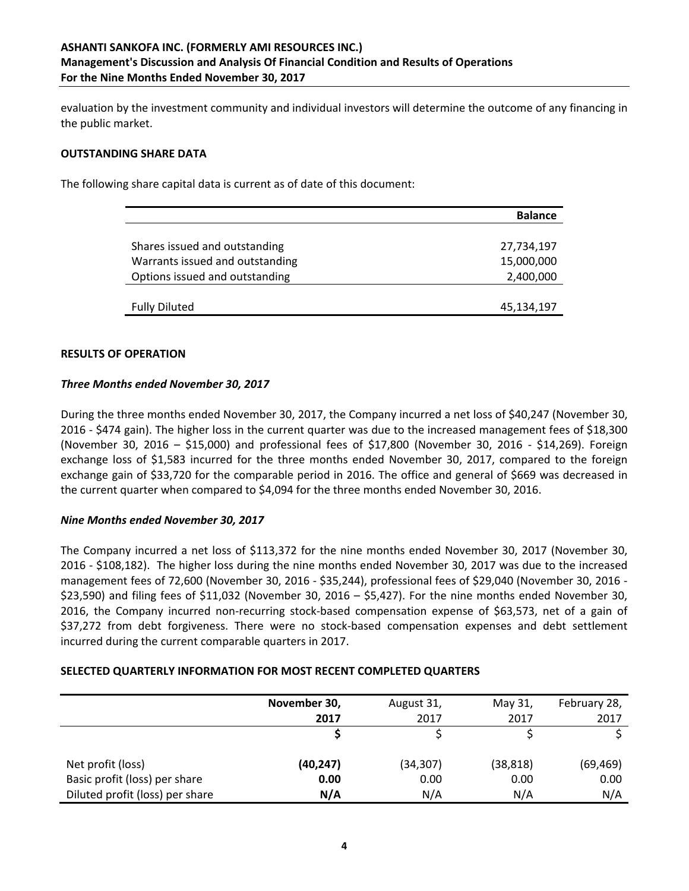# **ASHANTI SANKOFA INC. (FORMERLY AMI RESOURCES INC.) Management's Discussion and Analysis Of Financial Condition and Results of Operations For the Nine Months Ended November 30, 2017**

evaluation by the investment community and individual investors will determine the outcome of any financing in the public market.

#### **OUTSTANDING SHARE DATA**

The following share capital data is current as of date of this document:

|                                 | <b>Balance</b> |
|---------------------------------|----------------|
|                                 |                |
| Shares issued and outstanding   | 27,734,197     |
| Warrants issued and outstanding | 15,000,000     |
| Options issued and outstanding  | 2,400,000      |
|                                 |                |
| <b>Fully Diluted</b>            | 45,134,197     |

#### **RESULTS OF OPERATION**

#### *Three Months ended November 30, 2017*

During the three months ended November 30, 2017, the Company incurred a net loss of \$40,247 (November 30, 2016 - \$474 gain). The higher loss in the current quarter was due to the increased management fees of \$18,300 (November 30, 2016 – \$15,000) and professional fees of \$17,800 (November 30, 2016 - \$14,269). Foreign exchange loss of \$1,583 incurred for the three months ended November 30, 2017, compared to the foreign exchange gain of \$33,720 for the comparable period in 2016. The office and general of \$669 was decreased in the current quarter when compared to \$4,094 for the three months ended November 30, 2016.

# *Nine Months ended November 30, 2017*

The Company incurred a net loss of \$113,372 for the nine months ended November 30, 2017 (November 30, 2016 - \$108,182). The higher loss during the nine months ended November 30, 2017 was due to the increased management fees of 72,600 (November 30, 2016 - \$35,244), professional fees of \$29,040 (November 30, 2016 -\$23,590) and filing fees of \$11,032 (November 30, 2016 – \$5,427). For the nine months ended November 30, 2016, the Company incurred non-recurring stock-based compensation expense of \$63,573, net of a gain of \$37,272 from debt forgiveness. There were no stock-based compensation expenses and debt settlement incurred during the current comparable quarters in 2017.

# **SELECTED QUARTERLY INFORMATION FOR MOST RECENT COMPLETED QUARTERS**

|                                 | November 30, | August 31, | May 31,   | February 28, |
|---------------------------------|--------------|------------|-----------|--------------|
|                                 | 2017         | 2017       | 2017      | 2017         |
|                                 |              |            |           |              |
| Net profit (loss)               | (40, 247)    | (34,307)   | (38, 818) | (69, 469)    |
| Basic profit (loss) per share   | 0.00         | 0.00       | 0.00      | 0.00         |
| Diluted profit (loss) per share | N/A          | N/A        | N/A       | N/A          |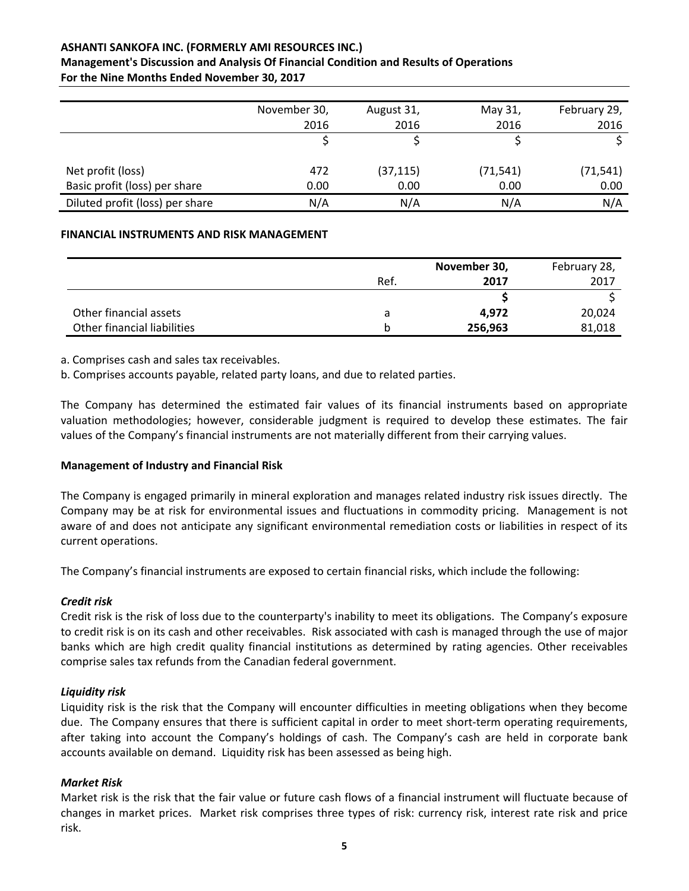# **ASHANTI SANKOFA INC. (FORMERLY AMI RESOURCES INC.)**

#### **Management's Discussion and Analysis Of Financial Condition and Results of Operations For the Nine Months Ended November 30, 2017**

|                                 | November 30, | August 31, | May 31,   | February 29, |
|---------------------------------|--------------|------------|-----------|--------------|
|                                 | 2016         | 2016       | 2016      | 2016         |
|                                 |              |            |           |              |
| Net profit (loss)               | 472          | (37, 115)  | (71, 541) | (71, 541)    |
| Basic profit (loss) per share   | 0.00         | 0.00       | 0.00      | 0.00         |
| Diluted profit (loss) per share | N/A          | N/A        | N/A       | N/A          |

# **FINANCIAL INSTRUMENTS AND RISK MANAGEMENT**

|                             |      | November 30, |        |
|-----------------------------|------|--------------|--------|
|                             | Ref. | 2017         | 2017   |
|                             |      |              |        |
| Other financial assets      | а    | 4.972        | 20,024 |
| Other financial liabilities | h    | 256,963      | 81,018 |

a. Comprises cash and sales tax receivables.

b. Comprises accounts payable, related party loans, and due to related parties.

The Company has determined the estimated fair values of its financial instruments based on appropriate valuation methodologies; however, considerable judgment is required to develop these estimates. The fair values of the Company's financial instruments are not materially different from their carrying values.

# **Management of Industry and Financial Risk**

The Company is engaged primarily in mineral exploration and manages related industry risk issues directly. The Company may be at risk for environmental issues and fluctuations in commodity pricing. Management is not aware of and does not anticipate any significant environmental remediation costs or liabilities in respect of its current operations.

The Company's financial instruments are exposed to certain financial risks, which include the following:

# *Credit risk*

Credit risk is the risk of loss due to the counterparty's inability to meet its obligations. The Company's exposure to credit risk is on its cash and other receivables. Risk associated with cash is managed through the use of major banks which are high credit quality financial institutions as determined by rating agencies. Other receivables comprise sales tax refunds from the Canadian federal government.

# *Liquidity risk*

Liquidity risk is the risk that the Company will encounter difficulties in meeting obligations when they become due. The Company ensures that there is sufficient capital in order to meet short-term operating requirements, after taking into account the Company's holdings of cash. The Company's cash are held in corporate bank accounts available on demand. Liquidity risk has been assessed as being high.

# *Market Risk*

Market risk is the risk that the fair value or future cash flows of a financial instrument will fluctuate because of changes in market prices. Market risk comprises three types of risk: currency risk, interest rate risk and price risk.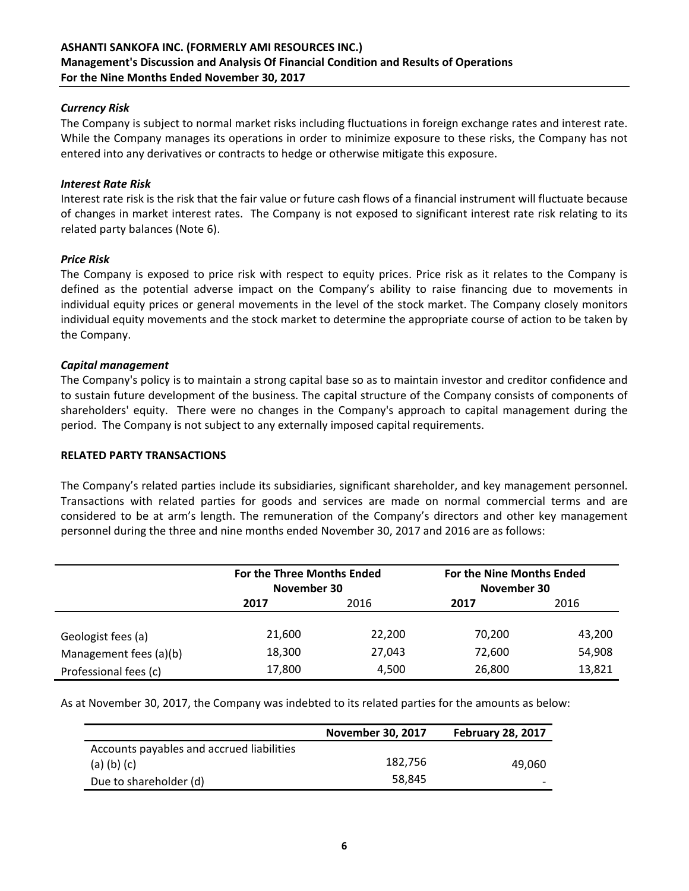# **ASHANTI SANKOFA INC. (FORMERLY AMI RESOURCES INC.) Management's Discussion and Analysis Of Financial Condition and Results of Operations For the Nine Months Ended November 30, 2017**

# *Currency Risk*

The Company is subject to normal market risks including fluctuations in foreign exchange rates and interest rate. While the Company manages its operations in order to minimize exposure to these risks, the Company has not entered into any derivatives or contracts to hedge or otherwise mitigate this exposure.

#### *Interest Rate Risk*

Interest rate risk is the risk that the fair value or future cash flows of a financial instrument will fluctuate because of changes in market interest rates. The Company is not exposed to significant interest rate risk relating to its related party balances (Note 6).

#### *Price Risk*

The Company is exposed to price risk with respect to equity prices. Price risk as it relates to the Company is defined as the potential adverse impact on the Company's ability to raise financing due to movements in individual equity prices or general movements in the level of the stock market. The Company closely monitors individual equity movements and the stock market to determine the appropriate course of action to be taken by the Company.

#### *Capital management*

The Company's policy is to maintain a strong capital base so as to maintain investor and creditor confidence and to sustain future development of the business. The capital structure of the Company consists of components of shareholders' equity. There were no changes in the Company's approach to capital management during the period. The Company is not subject to any externally imposed capital requirements.

#### **RELATED PARTY TRANSACTIONS**

The Company's related parties include its subsidiaries, significant shareholder, and key management personnel. Transactions with related parties for goods and services are made on normal commercial terms and are considered to be at arm's length. The remuneration of the Company's directors and other key management personnel during the three and nine months ended November 30, 2017 and 2016 are as follows:

|                        | For the Three Months Ended<br>November 30 |        | For the Nine Months Ended<br>November 30 |        |
|------------------------|-------------------------------------------|--------|------------------------------------------|--------|
|                        | 2016<br>2017                              |        | 2017                                     | 2016   |
| Geologist fees (a)     | 21,600                                    | 22,200 | 70,200                                   | 43,200 |
| Management fees (a)(b) | 18,300                                    | 27,043 | 72,600                                   | 54,908 |
| Professional fees (c)  | 17,800                                    | 4,500  | 26,800                                   | 13,821 |

As at November 30, 2017, the Company was indebted to its related parties for the amounts as below:

|                                           | <b>November 30, 2017</b> | <b>February 28, 2017</b> |
|-------------------------------------------|--------------------------|--------------------------|
| Accounts payables and accrued liabilities |                          |                          |
| $(a)$ (b) (c)                             | 182,756                  | 49.060                   |
| Due to shareholder (d)                    | 58.845                   |                          |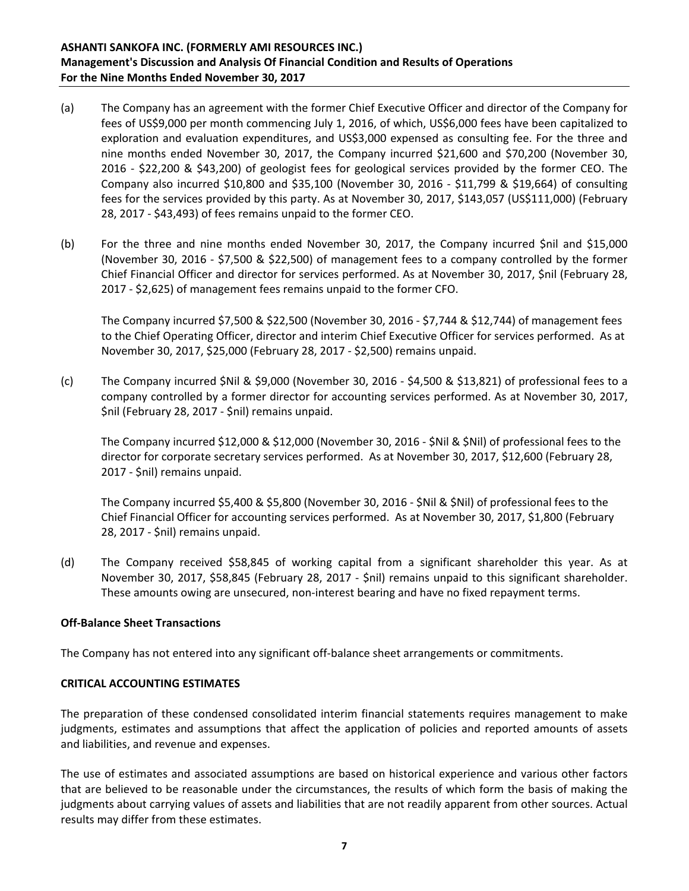- (a) The Company has an agreement with the former Chief Executive Officer and director of the Company for fees of US\$9,000 per month commencing July 1, 2016, of which, US\$6,000 fees have been capitalized to exploration and evaluation expenditures, and US\$3,000 expensed as consulting fee. For the three and nine months ended November 30, 2017, the Company incurred \$21,600 and \$70,200 (November 30, 2016 - \$22,200 & \$43,200) of geologist fees for geological services provided by the former CEO. The Company also incurred \$10,800 and \$35,100 (November 30, 2016 - \$11,799 & \$19,664) of consulting fees for the services provided by this party. As at November 30, 2017, \$143,057 (US\$111,000) (February 28, 2017 - \$43,493) of fees remains unpaid to the former CEO.
- (b) For the three and nine months ended November 30, 2017, the Company incurred \$nil and \$15,000 (November 30, 2016 - \$7,500 & \$22,500) of management fees to a company controlled by the former Chief Financial Officer and director for services performed. As at November 30, 2017, \$nil (February 28, 2017 - \$2,625) of management fees remains unpaid to the former CFO.

The Company incurred \$7,500 & \$22,500 (November 30, 2016 - \$7,744 & \$12,744) of management fees to the Chief Operating Officer, director and interim Chief Executive Officer for services performed. As at November 30, 2017, \$25,000 (February 28, 2017 - \$2,500) remains unpaid.

(c) The Company incurred \$Nil & \$9,000 (November 30, 2016 - \$4,500 & \$13,821) of professional fees to a company controlled by a former director for accounting services performed. As at November 30, 2017, \$nil (February 28, 2017 - \$nil) remains unpaid.

The Company incurred \$12,000 & \$12,000 (November 30, 2016 - \$Nil & \$Nil) of professional fees to the director for corporate secretary services performed. As at November 30, 2017, \$12,600 (February 28, 2017 - \$nil) remains unpaid.

The Company incurred \$5,400 & \$5,800 (November 30, 2016 - \$Nil & \$Nil) of professional fees to the Chief Financial Officer for accounting services performed. As at November 30, 2017, \$1,800 (February 28, 2017 - \$nil) remains unpaid.

(d) The Company received \$58,845 of working capital from a significant shareholder this year. As at November 30, 2017, \$58,845 (February 28, 2017 - \$nil) remains unpaid to this significant shareholder. These amounts owing are unsecured, non-interest bearing and have no fixed repayment terms.

# **Off-Balance Sheet Transactions**

The Company has not entered into any significant off-balance sheet arrangements or commitments.

# **CRITICAL ACCOUNTING ESTIMATES**

The preparation of these condensed consolidated interim financial statements requires management to make judgments, estimates and assumptions that affect the application of policies and reported amounts of assets and liabilities, and revenue and expenses.

The use of estimates and associated assumptions are based on historical experience and various other factors that are believed to be reasonable under the circumstances, the results of which form the basis of making the judgments about carrying values of assets and liabilities that are not readily apparent from other sources. Actual results may differ from these estimates.